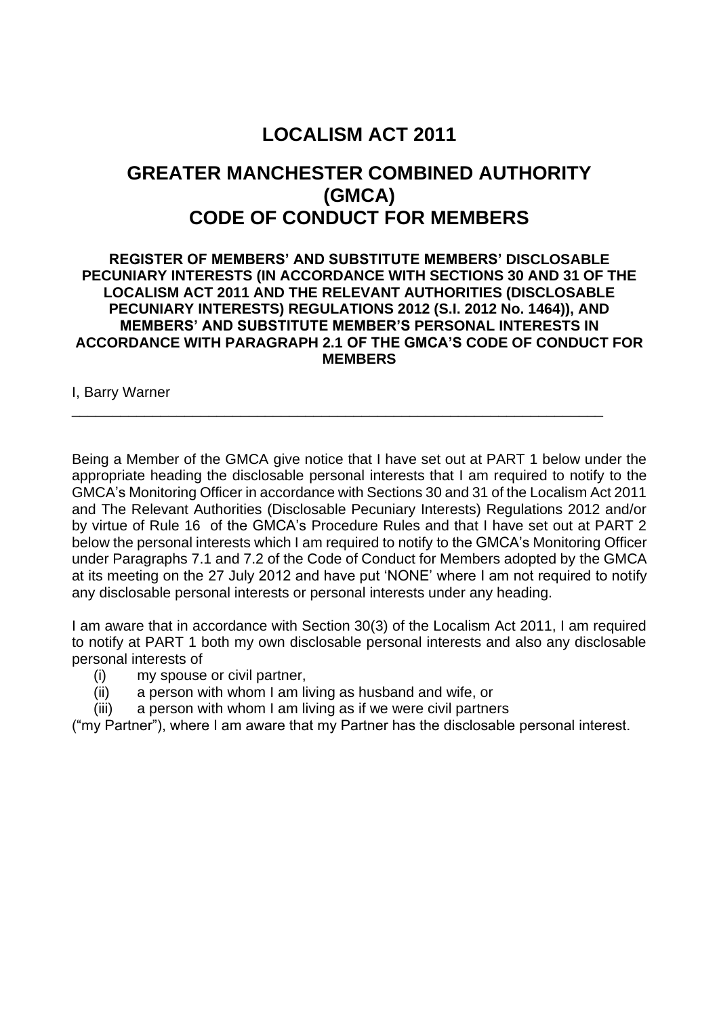# **LOCALISM ACT 2011**

## **GREATER MANCHESTER COMBINED AUTHORITY (GMCA) CODE OF CONDUCT FOR MEMBERS**

#### **REGISTER OF MEMBERS' AND SUBSTITUTE MEMBERS' DISCLOSABLE PECUNIARY INTERESTS (IN ACCORDANCE WITH SECTIONS 30 AND 31 OF THE LOCALISM ACT 2011 AND THE RELEVANT AUTHORITIES (DISCLOSABLE PECUNIARY INTERESTS) REGULATIONS 2012 (S.I. 2012 No. 1464)), AND MEMBERS' AND SUBSTITUTE MEMBER'S PERSONAL INTERESTS IN ACCORDANCE WITH PARAGRAPH 2.1 OF THE GMCA'S CODE OF CONDUCT FOR MEMBERS**

\_\_\_\_\_\_\_\_\_\_\_\_\_\_\_\_\_\_\_\_\_\_\_\_\_\_\_\_\_\_\_\_\_\_\_\_\_\_\_\_\_\_\_\_\_\_\_\_\_\_\_\_\_\_\_\_\_\_\_\_\_\_\_\_\_\_

I, Barry Warner

Being a Member of the GMCA give notice that I have set out at PART 1 below under the appropriate heading the disclosable personal interests that I am required to notify to the GMCA's Monitoring Officer in accordance with Sections 30 and 31 of the Localism Act 2011 and The Relevant Authorities (Disclosable Pecuniary Interests) Regulations 2012 and/or by virtue of Rule 16 of the GMCA's Procedure Rules and that I have set out at PART 2 below the personal interests which I am required to notify to the GMCA's Monitoring Officer under Paragraphs 7.1 and 7.2 of the Code of Conduct for Members adopted by the GMCA at its meeting on the 27 July 2012 and have put 'NONE' where I am not required to notify any disclosable personal interests or personal interests under any heading.

I am aware that in accordance with Section 30(3) of the Localism Act 2011, I am required to notify at PART 1 both my own disclosable personal interests and also any disclosable personal interests of

- (i) my spouse or civil partner,
- (ii) a person with whom I am living as husband and wife, or
- (iii) a person with whom I am living as if we were civil partners

("my Partner"), where I am aware that my Partner has the disclosable personal interest.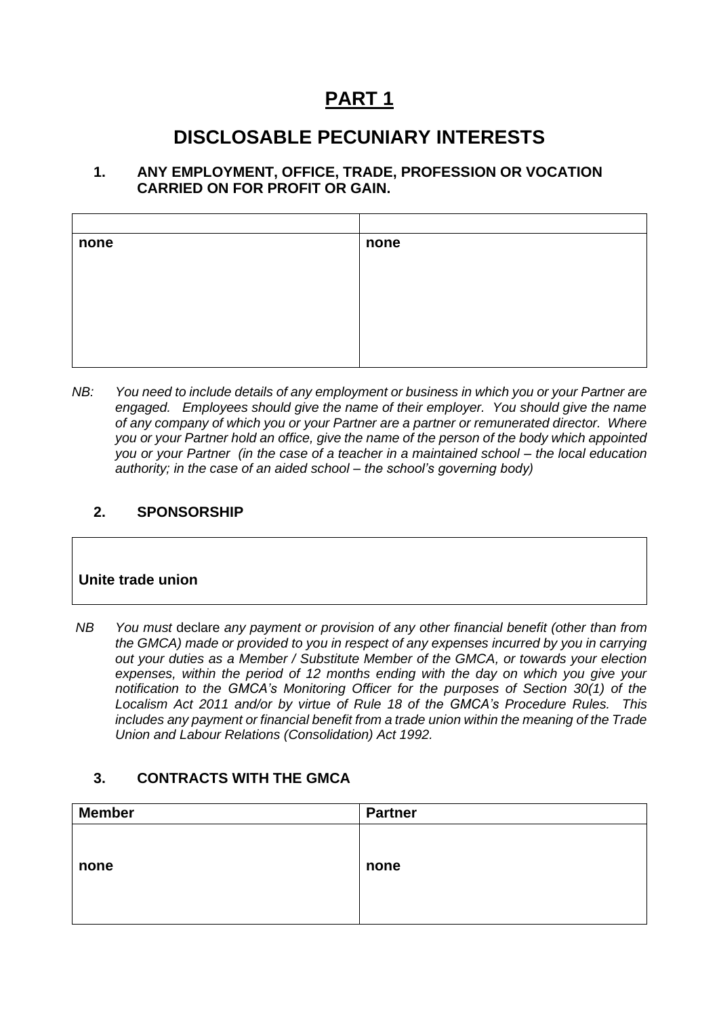# **PART 1**

# **DISCLOSABLE PECUNIARY INTERESTS**

#### **1. ANY EMPLOYMENT, OFFICE, TRADE, PROFESSION OR VOCATION CARRIED ON FOR PROFIT OR GAIN.**

| none | none |  |
|------|------|--|
|      |      |  |
|      |      |  |
|      |      |  |
|      |      |  |
|      |      |  |
|      |      |  |

*NB: You need to include details of any employment or business in which you or your Partner are engaged. Employees should give the name of their employer. You should give the name of any company of which you or your Partner are a partner or remunerated director. Where you or your Partner hold an office, give the name of the person of the body which appointed you or your Partner (in the case of a teacher in a maintained school – the local education authority; in the case of an aided school – the school's governing body)*

#### **2. SPONSORSHIP**

### **Unite trade union**

| NB | You must declare any payment or provision of any other financial benefit (other than from    |
|----|----------------------------------------------------------------------------------------------|
|    | the GMCA) made or provided to you in respect of any expenses incurred by you in carrying     |
|    | out your duties as a Member / Substitute Member of the GMCA, or towards your election        |
|    | expenses, within the period of 12 months ending with the day on which you give your          |
|    | notification to the GMCA's Monitoring Officer for the purposes of Section 30(1) of the       |
|    | Localism Act 2011 and/or by virtue of Rule 18 of the GMCA's Procedure Rules. This            |
|    | includes any payment or financial benefit from a trade union within the meaning of the Trade |
|    | Union and Labour Relations (Consolidation) Act 1992.                                         |

### **3. CONTRACTS WITH THE GMCA**

| <b>Member</b> | <b>Partner</b> |
|---------------|----------------|
|               |                |
|               |                |
| none          | none           |
|               |                |
|               |                |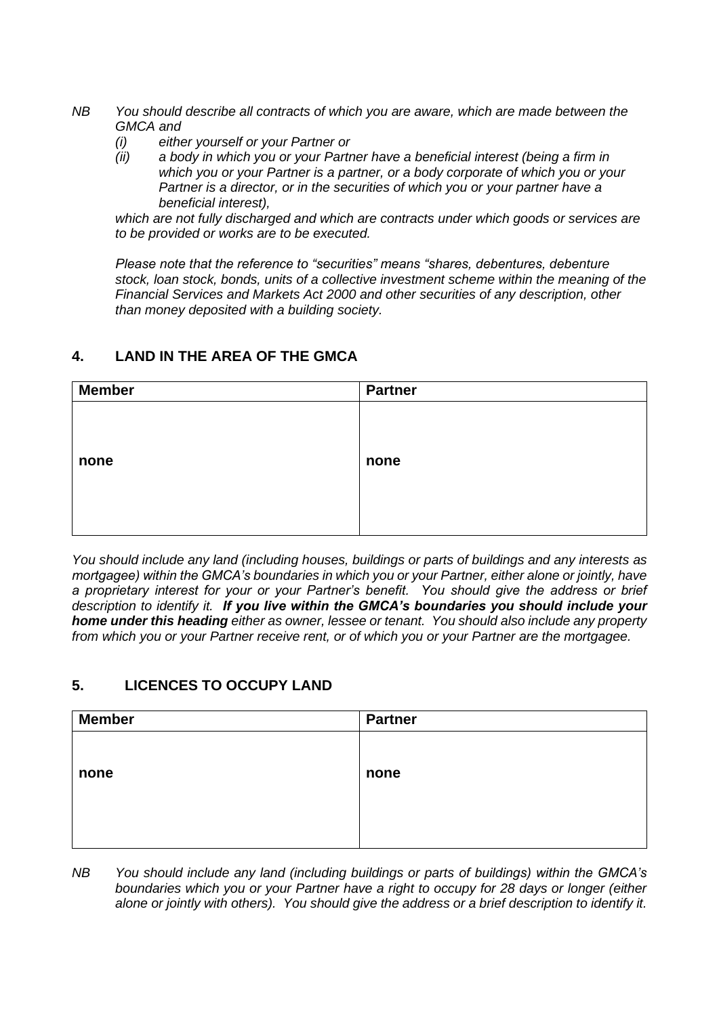- *NB You should describe all contracts of which you are aware, which are made between the GMCA and* 
	- *(i) either yourself or your Partner or*
	- *(ii) a body in which you or your Partner have a beneficial interest (being a firm in which you or your Partner is a partner, or a body corporate of which you or your Partner is a director, or in the securities of which you or your partner have a beneficial interest),*

*which are not fully discharged and which are contracts under which goods or services are to be provided or works are to be executed.*

*Please note that the reference to "securities" means "shares, debentures, debenture stock, loan stock, bonds, units of a collective investment scheme within the meaning of the Financial Services and Markets Act 2000 and other securities of any description, other than money deposited with a building society.*

#### **4. LAND IN THE AREA OF THE GMCA**

| <b>Member</b> | <b>Partner</b> |
|---------------|----------------|
|               |                |
|               |                |
| none          | none           |
|               |                |
|               |                |
|               |                |

*You should include any land (including houses, buildings or parts of buildings and any interests as mortgagee) within the GMCA's boundaries in which you or your Partner, either alone or jointly, have a proprietary interest for your or your Partner's benefit. You should give the address or brief description to identify it. If you live within the GMCA's boundaries you should include your home under this heading either as owner, lessee or tenant. You should also include any property from which you or your Partner receive rent, or of which you or your Partner are the mortgagee.*

#### **5. LICENCES TO OCCUPY LAND**

| <b>Member</b> | <b>Partner</b> |
|---------------|----------------|
|               |                |
|               |                |
| none          | none           |
|               |                |
|               |                |
|               |                |

*NB You should include any land (including buildings or parts of buildings) within the GMCA's boundaries which you or your Partner have a right to occupy for 28 days or longer (either alone or jointly with others). You should give the address or a brief description to identify it.*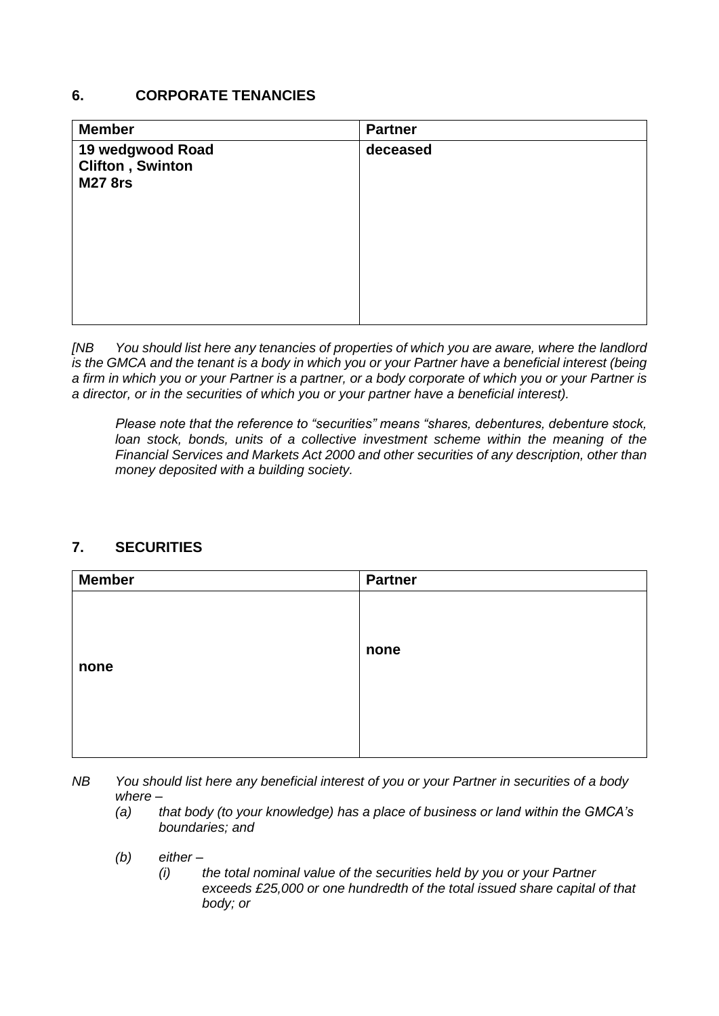#### **6. CORPORATE TENANCIES**

| <b>Member</b>                                                 | <b>Partner</b> |
|---------------------------------------------------------------|----------------|
| 19 wedgwood Road<br><b>Clifton, Swinton</b><br><b>M27 8rs</b> | deceased       |
|                                                               |                |

*[NB You should list here any tenancies of properties of which you are aware, where the landlord is the GMCA and the tenant is a body in which you or your Partner have a beneficial interest (being a firm in which you or your Partner is a partner, or a body corporate of which you or your Partner is a director, or in the securities of which you or your partner have a beneficial interest).* 

*Please note that the reference to "securities" means "shares, debentures, debenture stock, loan stock, bonds, units of a collective investment scheme within the meaning of the Financial Services and Markets Act 2000 and other securities of any description, other than money deposited with a building society.*

#### **7. SECURITIES**

| <b>Member</b> | <b>Partner</b> |
|---------------|----------------|
|               |                |
|               |                |
| none          | none           |
|               |                |
|               |                |
|               |                |

*NB You should list here any beneficial interest of you or your Partner in securities of a body where –*

- *(a) that body (to your knowledge) has a place of business or land within the GMCA's boundaries; and*
- *(b) either –*
	- *(i) the total nominal value of the securities held by you or your Partner exceeds £25,000 or one hundredth of the total issued share capital of that body; or*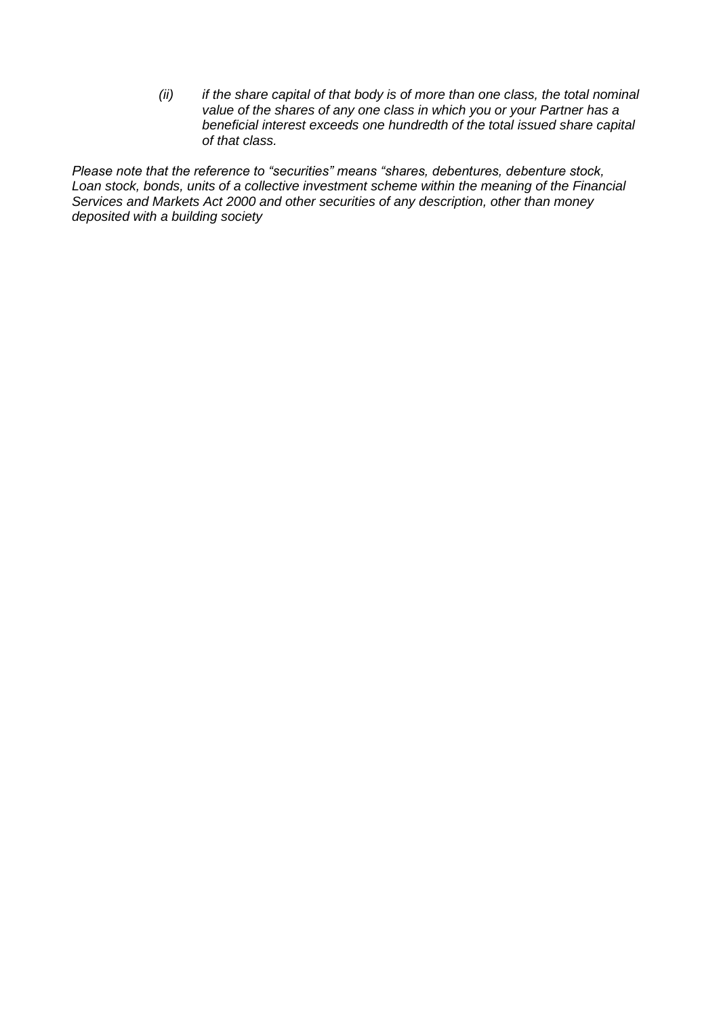*(ii) if the share capital of that body is of more than one class, the total nominal value of the shares of any one class in which you or your Partner has a beneficial interest exceeds one hundredth of the total issued share capital of that class.*

*Please note that the reference to "securities" means "shares, debentures, debenture stock, Loan stock, bonds, units of a collective investment scheme within the meaning of the Financial Services and Markets Act 2000 and other securities of any description, other than money deposited with a building society*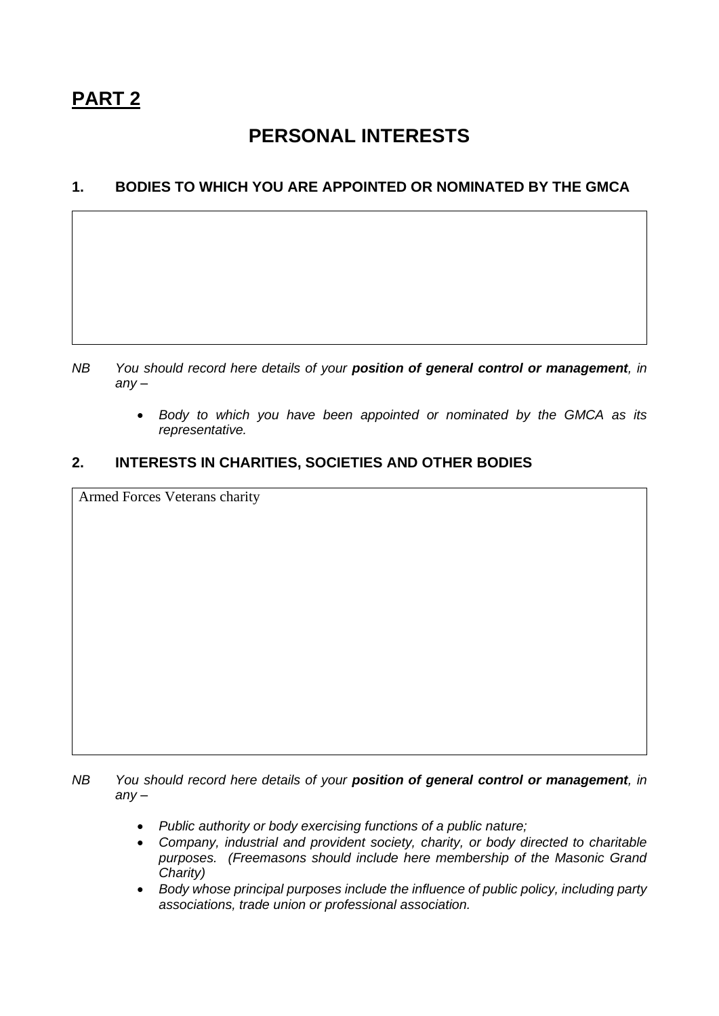# **PERSONAL INTERESTS**

### **1. BODIES TO WHICH YOU ARE APPOINTED OR NOMINATED BY THE GMCA**

- *NB You should record here details of your position of general control or management, in any –*
	- *Body to which you have been appointed or nominated by the GMCA as its representative.*

#### **2. INTERESTS IN CHARITIES, SOCIETIES AND OTHER BODIES**

Armed Forces Veterans charity

*NB You should record here details of your position of general control or management, in any –*

- *Public authority or body exercising functions of a public nature;*
- *Company, industrial and provident society, charity, or body directed to charitable purposes. (Freemasons should include here membership of the Masonic Grand Charity)*
- *Body whose principal purposes include the influence of public policy, including party associations, trade union or professional association.*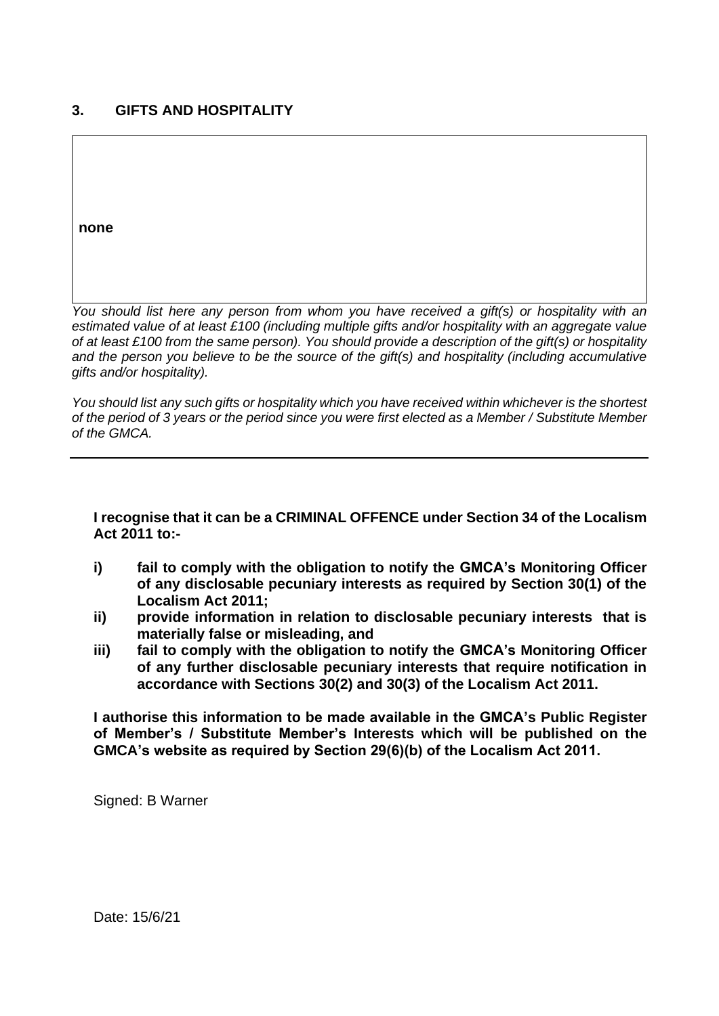### **3. GIFTS AND HOSPITALITY**

**none**

*You should list here any person from whom you have received a gift(s) or hospitality with an estimated value of at least £100 (including multiple gifts and/or hospitality with an aggregate value of at least £100 from the same person). You should provide a description of the gift(s) or hospitality and the person you believe to be the source of the gift(s) and hospitality (including accumulative gifts and/or hospitality).*

*You should list any such gifts or hospitality which you have received within whichever is the shortest of the period of 3 years or the period since you were first elected as a Member / Substitute Member of the GMCA.*

#### **I recognise that it can be a CRIMINAL OFFENCE under Section 34 of the Localism Act 2011 to:-**

- **i) fail to comply with the obligation to notify the GMCA's Monitoring Officer of any disclosable pecuniary interests as required by Section 30(1) of the Localism Act 2011;**
- **ii) provide information in relation to disclosable pecuniary interests that is materially false or misleading, and**
- **iii) fail to comply with the obligation to notify the GMCA's Monitoring Officer of any further disclosable pecuniary interests that require notification in accordance with Sections 30(2) and 30(3) of the Localism Act 2011.**

**I authorise this information to be made available in the GMCA's Public Register of Member's / Substitute Member's Interests which will be published on the GMCA's website as required by Section 29(6)(b) of the Localism Act 2011.** 

Signed: B Warner